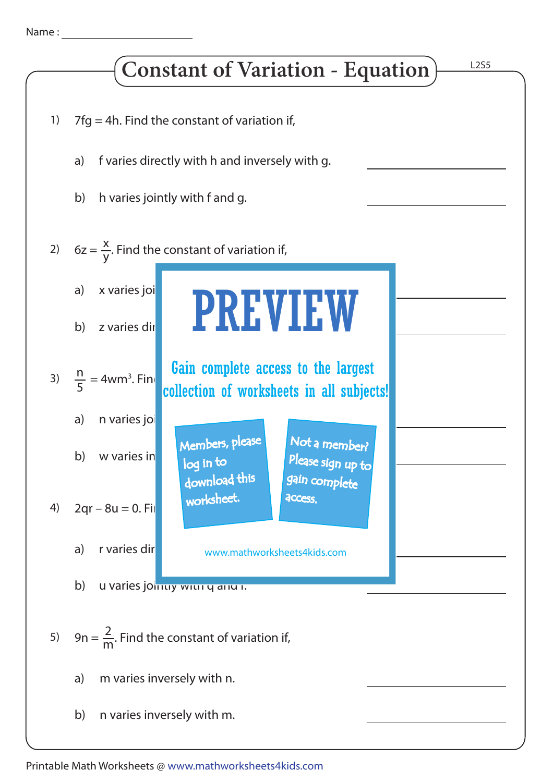